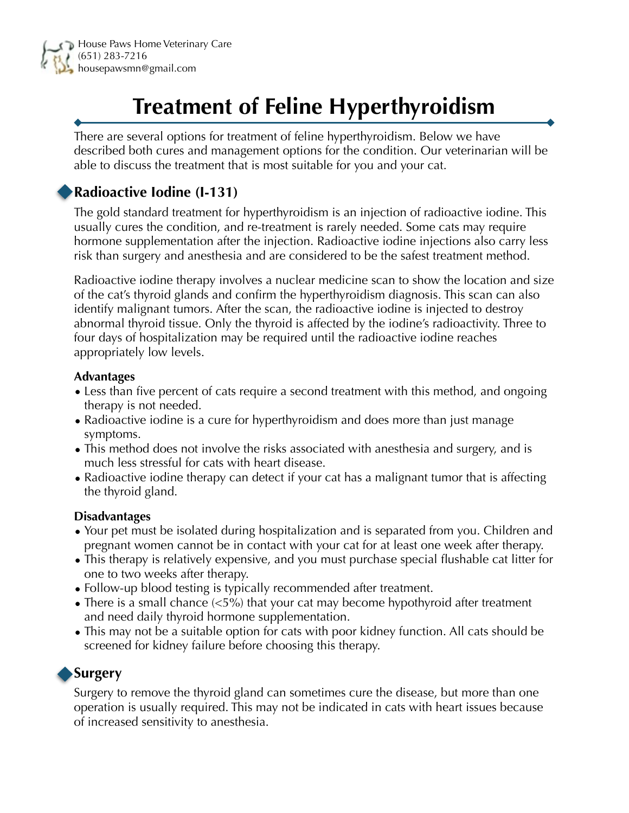

# **Treatment of Feline Hyperthyroidism**

There are several options for treatment of feline hyperthyroidism. Below we have described both cures and management options for the condition. Our veterinarian will be able to discuss the treatment that is most suitable for you and your cat.

# **Radioactive Iodine (I-131)**

The gold standard treatment for hyperthyroidism is an injection of radioactive iodine. This usually cures the condition, and re-treatment is rarely needed. Some cats may require hormone supplementation after the injection. Radioactive iodine injections also carry less risk than surgery and anesthesia and are considered to be the safest treatment method.

Radioactive iodine therapy involves a nuclear medicine scan to show the location and size of the cat's thyroid glands and confirm the hyperthyroidism diagnosis. This scan can also identify malignant tumors. After the scan, the radioactive iodine is injected to destroy abnormal thyroid tissue. Only the thyroid is affected by the iodine's radioactivity. Three to four days of hospitalization may be required until the radioactive iodine reaches appropriately low levels.

#### **Advantages**

- Less than five percent of cats require a second treatment with this method, and ongoing therapy is not needed.
- Radioactive iodine is a cure for hyperthyroidism and does more than just manage symptoms.
- This method does not involve the risks associated with anesthesia and surgery, and is much less stressful for cats with heart disease.
- Radioactive iodine therapy can detect if your cat has a malignant tumor that is affecting the thyroid gland.

#### **Disadvantages**

- Your pet must be isolated during hospitalization and is separated from you. Children and pregnant women cannot be in contact with your cat for at least one week after therapy.
- This therapy is relatively expensive, and you must purchase special flushable cat litter for one to two weeks after therapy.
- Follow-up blood testing is typically recommended after treatment.
- There is a small chance ( $\lt 5\%$ ) that your cat may become hypothyroid after treatment and need daily thyroid hormone supplementation.
- This may not be a suitable option for cats with poor kidney function. All cats should be screened for kidney failure before choosing this therapy.

## **Surgery**

Surgery to remove the thyroid gland can sometimes cure the disease, but more than one operation is usually required. This may not be indicated in cats with heart issues because of increased sensitivity to anesthesia.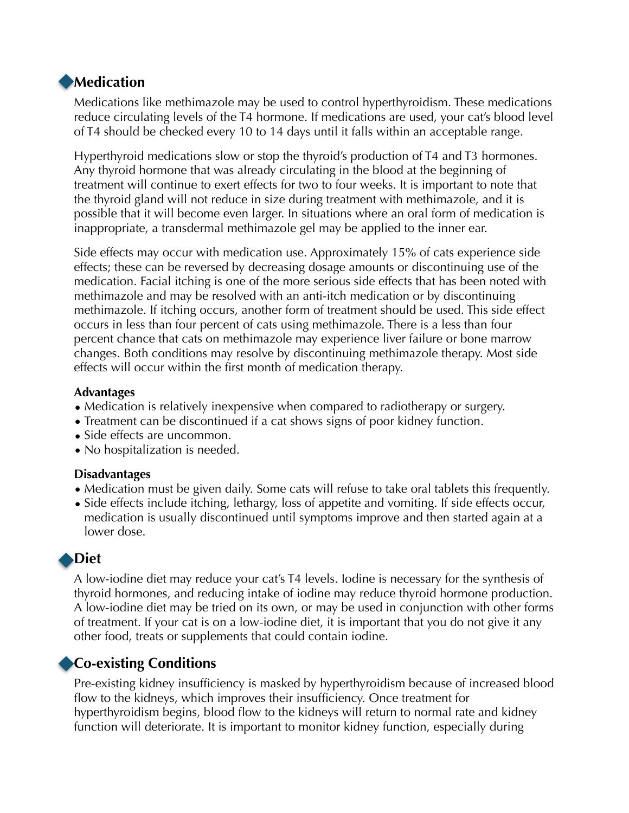## **Medication**

Medications like methimazole may be used to control hyperthyroidism. These medications reduce circulating levels of the T4 hormone. If medications are used, your cat's blood level of T4 should be checked every 10 to 14 days until it falls within an acceptable range.

Hyperthyroid medications slow or stop the thyroid's production of T4 and T3 hormones. Any thyroid hormone that was already circulating in the blood at the beginning of treatment will continue to exert effects for two to four weeks. It is important to note that the thyroid gland will not reduce in size during treatment with methimazole, and it is possible that it will become even larger. In situations where an oral form of medication is inappropriate, a transdermal methimazole gel may be applied to the inner ear.

Side effects may occur with medication use. Approximately 15% of cats experience side effects; these can be reversed by decreasing dosage amounts or discontinuing use of the medication. Facial itching is one of the more serious side effects that has been noted with methimazole and may be resolved with an anti-itch medication or by discontinuing methimazole. If itching occurs, another form of treatment should be used. This side effect occurs in less than four percent of cats using methimazole. There is a less than four percent chance that cats on methimazole may experience liver failure or bone marrow changes. Both conditions may resolve by discontinuing methimazole therapy. Most side effects will occur within the first month of medication therapy.

#### **Advantages**

- Medication is relatively inexpensive when compared to radiotherapy or surgery.
- Treatment can be discontinued if a cat shows signs of poor kidney function.
- Side effects are uncommon.
- No hospitalization is needed.

#### **Disadvantages**

- Medication must be given daily. Some cats will refuse to take oral tablets this frequently.
- Side effects include itching, lethargy, loss of appetite and vomiting. If side effects occur, medication is usually discontinued until symptoms improve and then started again at a lower dose.

# **Diet**

A low-iodine diet may reduce your cat's T4 levels. Iodine is necessary for the synthesis of thyroid hormones, and reducing intake of iodine may reduce thyroid hormone production. A low-iodine diet may be tried on its own, or may be used in conjunction with other forms of treatment. If your cat is on a low-iodine diet, it is important that you do not give it any other food, treats or supplements that could contain iodine.

# **Co-existing Conditions**

Pre-existing kidney insufficiency is masked by hyperthyroidism because of increased blood flow to the kidneys, which improves their insufficiency. Once treatment for hyperthyroidism begins, blood flow to the kidneys will return to normal rate and kidney function will deteriorate. It is important to monitor kidney function, especially during